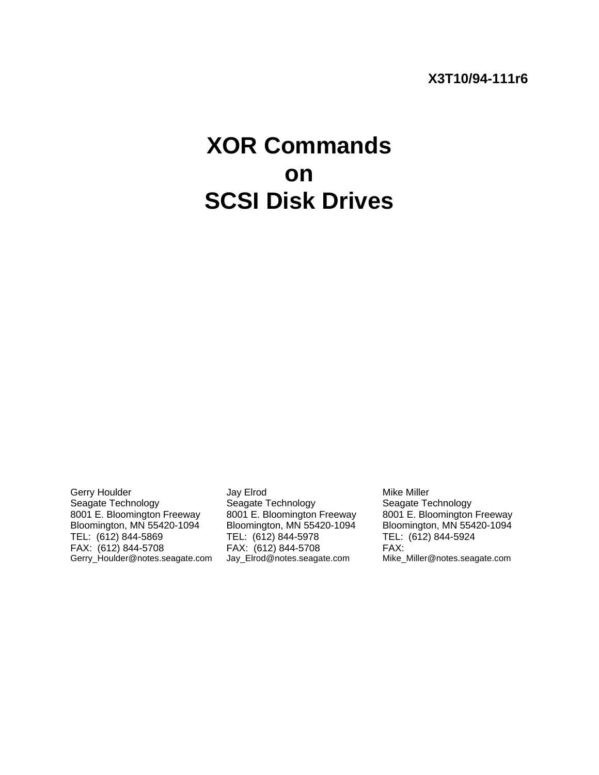# **X3T10/94-111r6**

# **XOR Commands on SCSI Disk Drives**

Gerry Houlder and Say Elrod Corry Houlder Mike Miller<br>
Seagate Technology Seagate Technology Seagate Technology 8001 E. Bloomington Freeway 8001 E. Bloomington Freeway 8001 E. Bloomington Freeway<br>Bloomington, MN 55420-1094 Bloomington, MN 55420-1094 Bloomington, MN 55420-1094 TEL: (612) 844-5869 TEL: (612) 844-5978 TEL: (612) 844-5924 FAX: (612) 844-5708 FAX: (612) 844-5708 FAX:

Seagate Technology Bloomington, MN 55420-1094

Gerry\_Houlder@notes.seagate.com Jay\_Elrod@notes.seagate.com Mike\_Miller@notes.seagate.com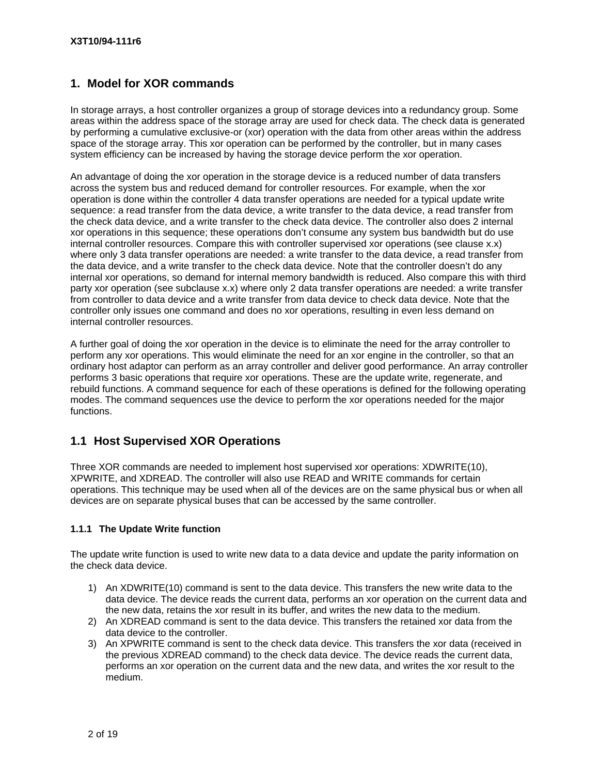## **1. Model for XOR commands**

In storage arrays, a host controller organizes a group of storage devices into a redundancy group. Some areas within the address space of the storage array are used for check data. The check data is generated by performing a cumulative exclusive-or (xor) operation with the data from other areas within the address space of the storage array. This xor operation can be performed by the controller, but in many cases system efficiency can be increased by having the storage device perform the xor operation.

An advantage of doing the xor operation in the storage device is a reduced number of data transfers across the system bus and reduced demand for controller resources. For example, when the xor operation is done within the controller 4 data transfer operations are needed for a typical update write sequence: a read transfer from the data device, a write transfer to the data device, a read transfer from the check data device, and a write transfer to the check data device. The controller also does 2 internal xor operations in this sequence; these operations don't consume any system bus bandwidth but do use internal controller resources. Compare this with controller supervised xor operations (see clause x.x) where only 3 data transfer operations are needed: a write transfer to the data device, a read transfer from the data device, and a write transfer to the check data device. Note that the controller doesn't do any internal xor operations, so demand for internal memory bandwidth is reduced. Also compare this with third party xor operation (see subclause x.x) where only 2 data transfer operations are needed: a write transfer from controller to data device and a write transfer from data device to check data device. Note that the controller only issues one command and does no xor operations, resulting in even less demand on internal controller resources.

A further goal of doing the xor operation in the device is to eliminate the need for the array controller to perform any xor operations. This would eliminate the need for an xor engine in the controller, so that an ordinary host adaptor can perform as an array controller and deliver good performance. An array controller performs 3 basic operations that require xor operations. These are the update write, regenerate, and rebuild functions. A command sequence for each of these operations is defined for the following operating modes. The command sequences use the device to perform the xor operations needed for the major functions.

# **1.1 Host Supervised XOR Operations**

Three XOR commands are needed to implement host supervised xor operations: XDWRITE(10), XPWRITE, and XDREAD. The controller will also use READ and WRITE commands for certain operations. This technique may be used when all of the devices are on the same physical bus or when all devices are on separate physical buses that can be accessed by the same controller.

#### **1.1.1 The Update Write function**

The update write function is used to write new data to a data device and update the parity information on the check data device.

- 1) An XDWRITE(10) command is sent to the data device. This transfers the new write data to the data device. The device reads the current data, performs an xor operation on the current data and the new data, retains the xor result in its buffer, and writes the new data to the medium.
- 2) An XDREAD command is sent to the data device. This transfers the retained xor data from the data device to the controller.
- 3) An XPWRITE command is sent to the check data device. This transfers the xor data (received in the previous XDREAD command) to the check data device. The device reads the current data, performs an xor operation on the current data and the new data, and writes the xor result to the medium.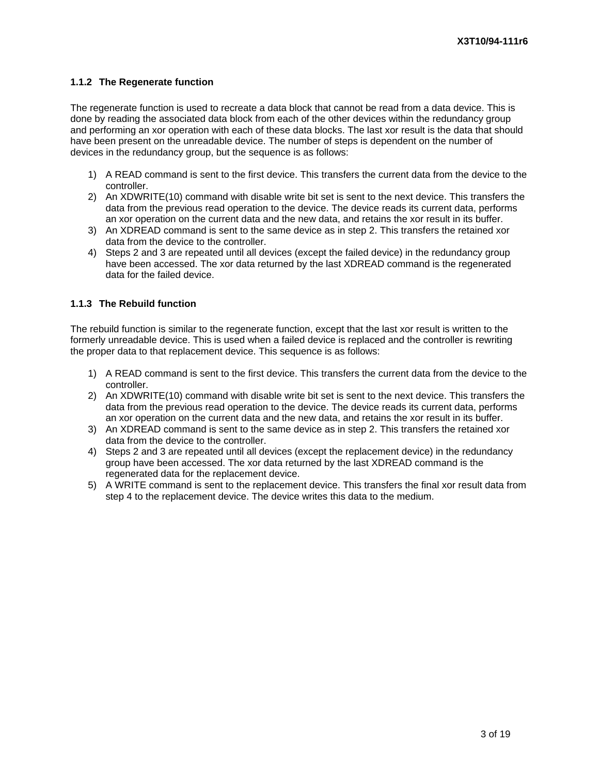#### **1.1.2 The Regenerate function**

The regenerate function is used to recreate a data block that cannot be read from a data device. This is done by reading the associated data block from each of the other devices within the redundancy group and performing an xor operation with each of these data blocks. The last xor result is the data that should have been present on the unreadable device. The number of steps is dependent on the number of devices in the redundancy group, but the sequence is as follows:

- 1) A READ command is sent to the first device. This transfers the current data from the device to the controller.
- 2) An XDWRITE(10) command with disable write bit set is sent to the next device. This transfers the data from the previous read operation to the device. The device reads its current data, performs an xor operation on the current data and the new data, and retains the xor result in its buffer.
- 3) An XDREAD command is sent to the same device as in step 2. This transfers the retained xor data from the device to the controller.
- 4) Steps 2 and 3 are repeated until all devices (except the failed device) in the redundancy group have been accessed. The xor data returned by the last XDREAD command is the regenerated data for the failed device.

#### **1.1.3 The Rebuild function**

The rebuild function is similar to the regenerate function, except that the last xor result is written to the formerly unreadable device. This is used when a failed device is replaced and the controller is rewriting the proper data to that replacement device. This sequence is as follows:

- 1) A READ command is sent to the first device. This transfers the current data from the device to the controller.
- 2) An XDWRITE(10) command with disable write bit set is sent to the next device. This transfers the data from the previous read operation to the device. The device reads its current data, performs an xor operation on the current data and the new data, and retains the xor result in its buffer.
- 3) An XDREAD command is sent to the same device as in step 2. This transfers the retained xor data from the device to the controller.
- 4) Steps 2 and 3 are repeated until all devices (except the replacement device) in the redundancy group have been accessed. The xor data returned by the last XDREAD command is the regenerated data for the replacement device.
- 5) A WRITE command is sent to the replacement device. This transfers the final xor result data from step 4 to the replacement device. The device writes this data to the medium.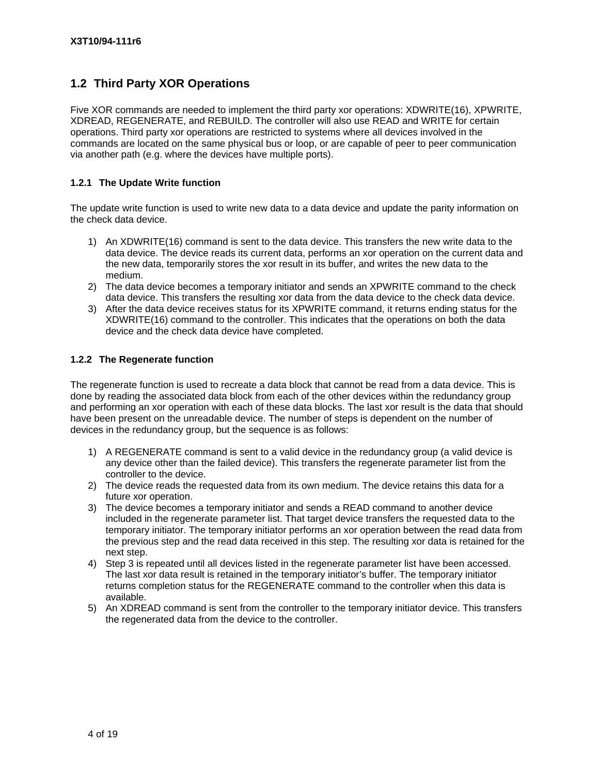## **1.2 Third Party XOR Operations**

Five XOR commands are needed to implement the third party xor operations: XDWRITE(16), XPWRITE, XDREAD, REGENERATE, and REBUILD. The controller will also use READ and WRITE for certain operations. Third party xor operations are restricted to systems where all devices involved in the commands are located on the same physical bus or loop, or are capable of peer to peer communication via another path (e.g. where the devices have multiple ports).

#### **1.2.1 The Update Write function**

The update write function is used to write new data to a data device and update the parity information on the check data device.

- 1) An XDWRITE(16) command is sent to the data device. This transfers the new write data to the data device. The device reads its current data, performs an xor operation on the current data and the new data, temporarily stores the xor result in its buffer, and writes the new data to the medium.
- 2) The data device becomes a temporary initiator and sends an XPWRITE command to the check data device. This transfers the resulting xor data from the data device to the check data device.
- 3) After the data device receives status for its XPWRITE command, it returns ending status for the XDWRITE(16) command to the controller. This indicates that the operations on both the data device and the check data device have completed.

#### **1.2.2 The Regenerate function**

The regenerate function is used to recreate a data block that cannot be read from a data device. This is done by reading the associated data block from each of the other devices within the redundancy group and performing an xor operation with each of these data blocks. The last xor result is the data that should have been present on the unreadable device. The number of steps is dependent on the number of devices in the redundancy group, but the sequence is as follows:

- 1) A REGENERATE command is sent to a valid device in the redundancy group (a valid device is any device other than the failed device). This transfers the regenerate parameter list from the controller to the device.
- 2) The device reads the requested data from its own medium. The device retains this data for a future xor operation.
- 3) The device becomes a temporary initiator and sends a READ command to another device included in the regenerate parameter list. That target device transfers the requested data to the temporary initiator. The temporary initiator performs an xor operation between the read data from the previous step and the read data received in this step. The resulting xor data is retained for the next step.
- 4) Step 3 is repeated until all devices listed in the regenerate parameter list have been accessed. The last xor data result is retained in the temporary initiator's buffer. The temporary initiator returns completion status for the REGENERATE command to the controller when this data is available.
- 5) An XDREAD command is sent from the controller to the temporary initiator device. This transfers the regenerated data from the device to the controller.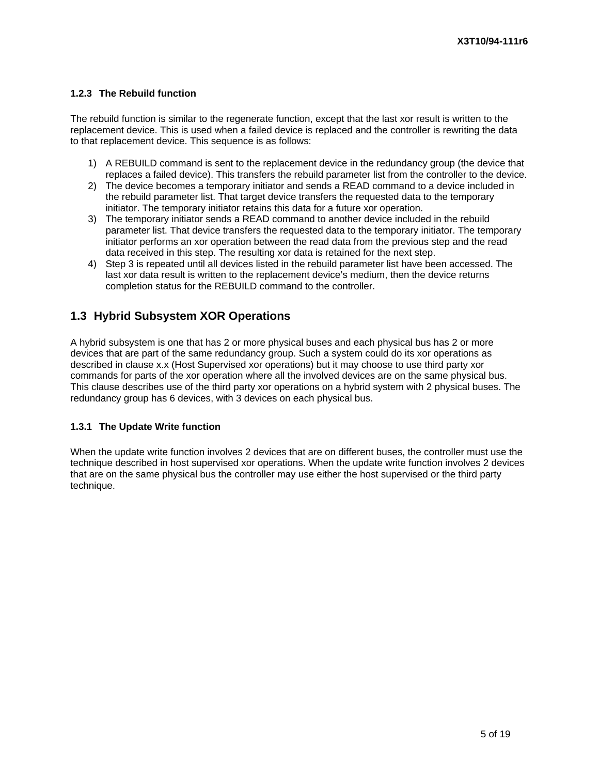#### **1.2.3 The Rebuild function**

The rebuild function is similar to the regenerate function, except that the last xor result is written to the replacement device. This is used when a failed device is replaced and the controller is rewriting the data to that replacement device. This sequence is as follows:

- 1) A REBUILD command is sent to the replacement device in the redundancy group (the device that replaces a failed device). This transfers the rebuild parameter list from the controller to the device.
- 2) The device becomes a temporary initiator and sends a READ command to a device included in the rebuild parameter list. That target device transfers the requested data to the temporary initiator. The temporary initiator retains this data for a future xor operation.
- 3) The temporary initiator sends a READ command to another device included in the rebuild parameter list. That device transfers the requested data to the temporary initiator. The temporary initiator performs an xor operation between the read data from the previous step and the read data received in this step. The resulting xor data is retained for the next step.
- 4) Step 3 is repeated until all devices listed in the rebuild parameter list have been accessed. The last xor data result is written to the replacement device's medium, then the device returns completion status for the REBUILD command to the controller.

## **1.3 Hybrid Subsystem XOR Operations**

A hybrid subsystem is one that has 2 or more physical buses and each physical bus has 2 or more devices that are part of the same redundancy group. Such a system could do its xor operations as described in clause x.x (Host Supervised xor operations) but it may choose to use third party xor commands for parts of the xor operation where all the involved devices are on the same physical bus. This clause describes use of the third party xor operations on a hybrid system with 2 physical buses. The redundancy group has 6 devices, with 3 devices on each physical bus.

#### **1.3.1 The Update Write function**

When the update write function involves 2 devices that are on different buses, the controller must use the technique described in host supervised xor operations. When the update write function involves 2 devices that are on the same physical bus the controller may use either the host supervised or the third party technique.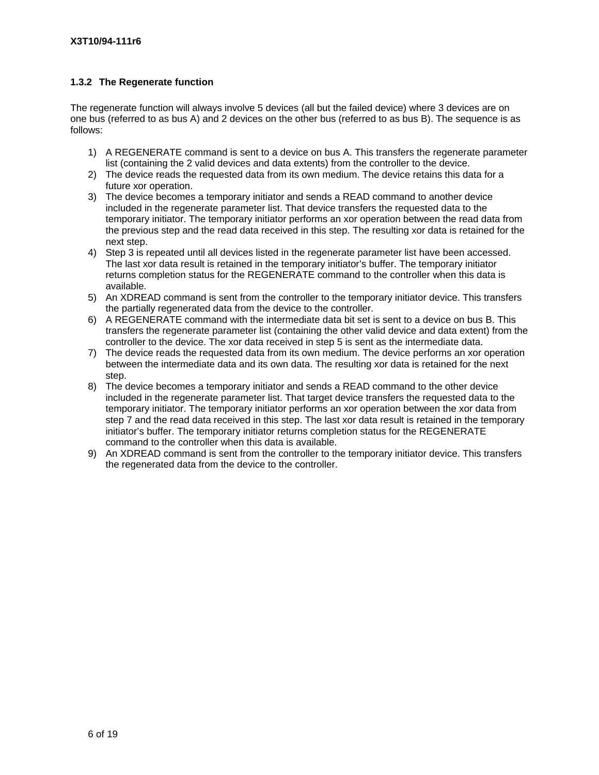#### **1.3.2 The Regenerate function**

The regenerate function will always involve 5 devices (all but the failed device) where 3 devices are on one bus (referred to as bus A) and 2 devices on the other bus (referred to as bus B). The sequence is as follows:

- 1) A REGENERATE command is sent to a device on bus A. This transfers the regenerate parameter list (containing the 2 valid devices and data extents) from the controller to the device.
- 2) The device reads the requested data from its own medium. The device retains this data for a future xor operation.
- 3) The device becomes a temporary initiator and sends a READ command to another device included in the regenerate parameter list. That device transfers the requested data to the temporary initiator. The temporary initiator performs an xor operation between the read data from the previous step and the read data received in this step. The resulting xor data is retained for the next step.
- 4) Step 3 is repeated until all devices listed in the regenerate parameter list have been accessed. The last xor data result is retained in the temporary initiator's buffer. The temporary initiator returns completion status for the REGENERATE command to the controller when this data is available.
- 5) An XDREAD command is sent from the controller to the temporary initiator device. This transfers the partially regenerated data from the device to the controller.
- 6) A REGENERATE command with the intermediate data bit set is sent to a device on bus B. This transfers the regenerate parameter list (containing the other valid device and data extent) from the controller to the device. The xor data received in step 5 is sent as the intermediate data.
- 7) The device reads the requested data from its own medium. The device performs an xor operation between the intermediate data and its own data. The resulting xor data is retained for the next step.
- 8) The device becomes a temporary initiator and sends a READ command to the other device included in the regenerate parameter list. That target device transfers the requested data to the temporary initiator. The temporary initiator performs an xor operation between the xor data from step 7 and the read data received in this step. The last xor data result is retained in the temporary initiator's buffer. The temporary initiator returns completion status for the REGENERATE command to the controller when this data is available.
- 9) An XDREAD command is sent from the controller to the temporary initiator device. This transfers the regenerated data from the device to the controller.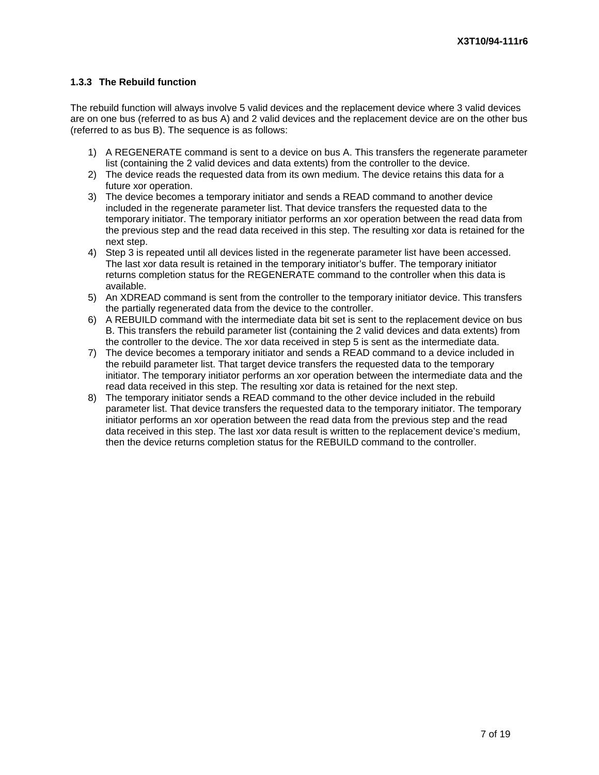#### **1.3.3 The Rebuild function**

The rebuild function will always involve 5 valid devices and the replacement device where 3 valid devices are on one bus (referred to as bus A) and 2 valid devices and the replacement device are on the other bus (referred to as bus B). The sequence is as follows:

- 1) A REGENERATE command is sent to a device on bus A. This transfers the regenerate parameter list (containing the 2 valid devices and data extents) from the controller to the device.
- 2) The device reads the requested data from its own medium. The device retains this data for a future xor operation.
- 3) The device becomes a temporary initiator and sends a READ command to another device included in the regenerate parameter list. That device transfers the requested data to the temporary initiator. The temporary initiator performs an xor operation between the read data from the previous step and the read data received in this step. The resulting xor data is retained for the next step.
- 4) Step 3 is repeated until all devices listed in the regenerate parameter list have been accessed. The last xor data result is retained in the temporary initiator's buffer. The temporary initiator returns completion status for the REGENERATE command to the controller when this data is available.
- 5) An XDREAD command is sent from the controller to the temporary initiator device. This transfers the partially regenerated data from the device to the controller.
- 6) A REBUILD command with the intermediate data bit set is sent to the replacement device on bus B. This transfers the rebuild parameter list (containing the 2 valid devices and data extents) from the controller to the device. The xor data received in step 5 is sent as the intermediate data.
- 7) The device becomes a temporary initiator and sends a READ command to a device included in the rebuild parameter list. That target device transfers the requested data to the temporary initiator. The temporary initiator performs an xor operation between the intermediate data and the read data received in this step. The resulting xor data is retained for the next step.
- 8) The temporary initiator sends a READ command to the other device included in the rebuild parameter list. That device transfers the requested data to the temporary initiator. The temporary initiator performs an xor operation between the read data from the previous step and the read data received in this step. The last xor data result is written to the replacement device's medium, then the device returns completion status for the REBUILD command to the controller.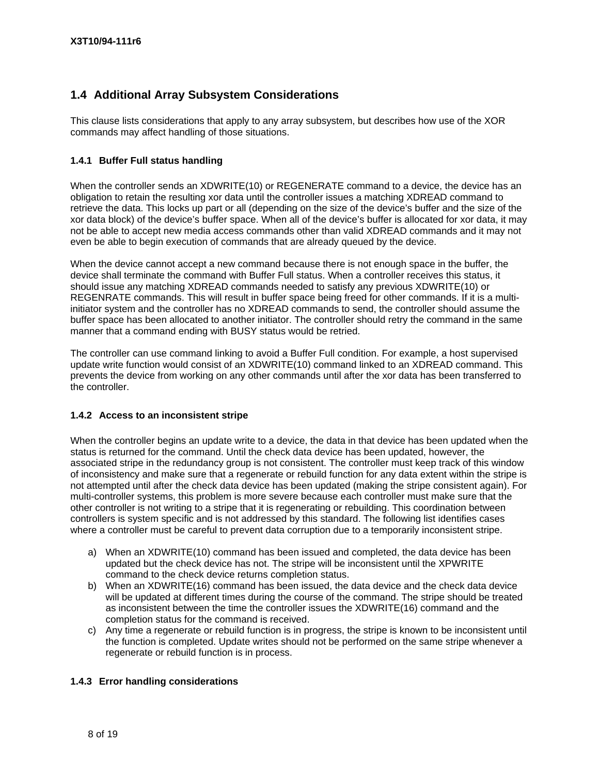# **1.4 Additional Array Subsystem Considerations**

This clause lists considerations that apply to any array subsystem, but describes how use of the XOR commands may affect handling of those situations.

#### **1.4.1 Buffer Full status handling**

When the controller sends an XDWRITE(10) or REGENERATE command to a device, the device has an obligation to retain the resulting xor data until the controller issues a matching XDREAD command to retrieve the data. This locks up part or all (depending on the size of the device's buffer and the size of the xor data block) of the device's buffer space. When all of the device's buffer is allocated for xor data, it may not be able to accept new media access commands other than valid XDREAD commands and it may not even be able to begin execution of commands that are already queued by the device.

When the device cannot accept a new command because there is not enough space in the buffer, the device shall terminate the command with Buffer Full status. When a controller receives this status, it should issue any matching XDREAD commands needed to satisfy any previous XDWRITE(10) or REGENRATE commands. This will result in buffer space being freed for other commands. If it is a multiinitiator system and the controller has no XDREAD commands to send, the controller should assume the buffer space has been allocated to another initiator. The controller should retry the command in the same manner that a command ending with BUSY status would be retried.

The controller can use command linking to avoid a Buffer Full condition. For example, a host supervised update write function would consist of an XDWRITE(10) command linked to an XDREAD command. This prevents the device from working on any other commands until after the xor data has been transferred to the controller.

#### **1.4.2 Access to an inconsistent stripe**

When the controller begins an update write to a device, the data in that device has been updated when the status is returned for the command. Until the check data device has been updated, however, the associated stripe in the redundancy group is not consistent. The controller must keep track of this window of inconsistency and make sure that a regenerate or rebuild function for any data extent within the stripe is not attempted until after the check data device has been updated (making the stripe consistent again). For multi-controller systems, this problem is more severe because each controller must make sure that the other controller is not writing to a stripe that it is regenerating or rebuilding. This coordination between controllers is system specific and is not addressed by this standard. The following list identifies cases where a controller must be careful to prevent data corruption due to a temporarily inconsistent stripe.

- a) When an XDWRITE(10) command has been issued and completed, the data device has been updated but the check device has not. The stripe will be inconsistent until the XPWRITE command to the check device returns completion status.
- b) When an XDWRITE(16) command has been issued, the data device and the check data device will be updated at different times during the course of the command. The stripe should be treated as inconsistent between the time the controller issues the XDWRITE(16) command and the completion status for the command is received.
- c) Any time a regenerate or rebuild function is in progress, the stripe is known to be inconsistent until the function is completed. Update writes should not be performed on the same stripe whenever a regenerate or rebuild function is in process.

#### **1.4.3 Error handling considerations**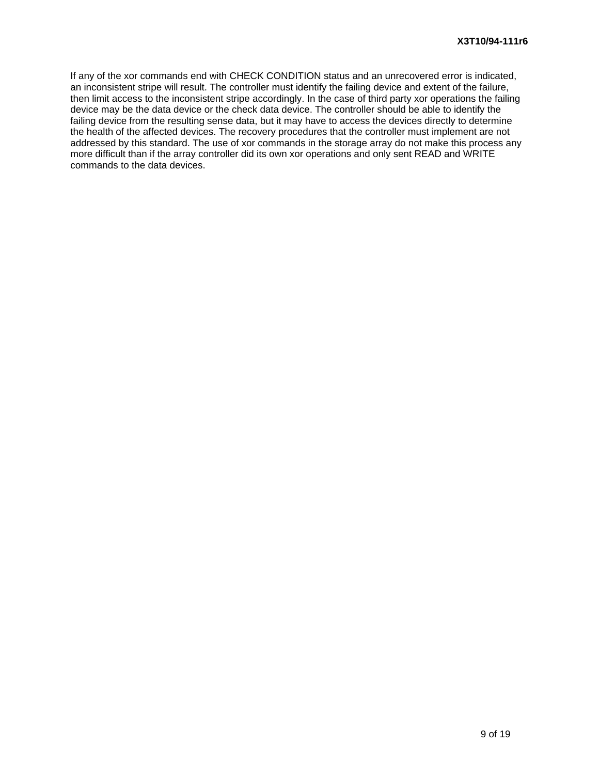If any of the xor commands end with CHECK CONDITION status and an unrecovered error is indicated, an inconsistent stripe will result. The controller must identify the failing device and extent of the failure, then limit access to the inconsistent stripe accordingly. In the case of third party xor operations the failing device may be the data device or the check data device. The controller should be able to identify the failing device from the resulting sense data, but it may have to access the devices directly to determine the health of the affected devices. The recovery procedures that the controller must implement are not addressed by this standard. The use of xor commands in the storage array do not make this process any more difficult than if the array controller did its own xor operations and only sent READ and WRITE commands to the data devices.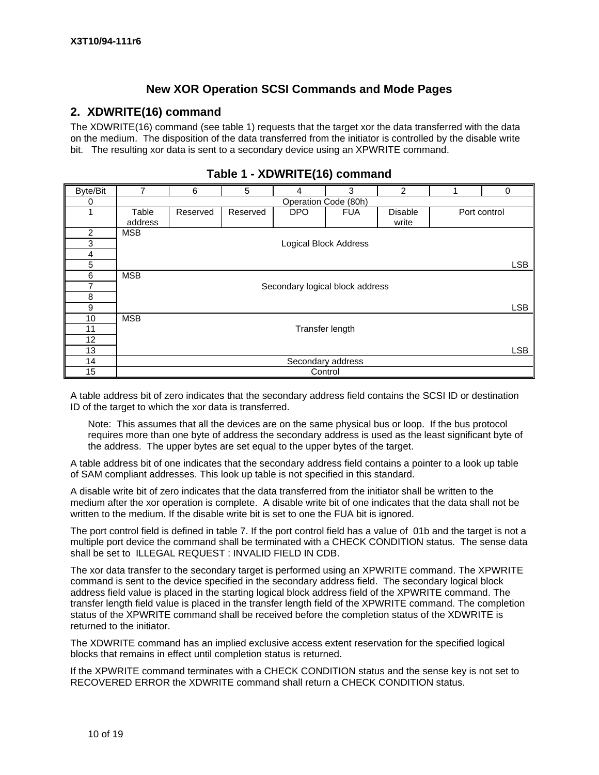## **New XOR Operation SCSI Commands and Mode Pages**

#### **2. XDWRITE(16) command**

The XDWRITE(16) command (see table 1) requests that the target xor the data transferred with the data on the medium. The disposition of the data transferred from the initiator is controlled by the disable write bit. The resulting xor data is sent to a secondary device using an XPWRITE command.

| Byte/Bit       |                      | 5<br>6<br>3<br>2<br>0<br>4 |          |                                 |            |                         |  |              |  |  |
|----------------|----------------------|----------------------------|----------|---------------------------------|------------|-------------------------|--|--------------|--|--|
| 0              | Operation Code (80h) |                            |          |                                 |            |                         |  |              |  |  |
|                | Table<br>address     | Reserved                   | Reserved | DPO                             | <b>FUA</b> | <b>Disable</b><br>write |  | Port control |  |  |
| $\overline{2}$ | <b>MSB</b>           |                            |          |                                 |            |                         |  |              |  |  |
| 3              |                      |                            |          | <b>Logical Block Address</b>    |            |                         |  |              |  |  |
| 4              |                      |                            |          |                                 |            |                         |  |              |  |  |
| 5              |                      |                            |          |                                 |            |                         |  | <b>LSB</b>   |  |  |
| 6              | <b>MSB</b>           |                            |          |                                 |            |                         |  |              |  |  |
| 7              |                      |                            |          | Secondary logical block address |            |                         |  |              |  |  |
| 8              |                      |                            |          |                                 |            |                         |  |              |  |  |
| 9              |                      |                            |          |                                 |            |                         |  | <b>LSB</b>   |  |  |
| 10             | <b>MSB</b>           |                            |          |                                 |            |                         |  |              |  |  |
| 11             |                      |                            |          | Transfer length                 |            |                         |  |              |  |  |
| 12             |                      |                            |          |                                 |            |                         |  |              |  |  |
| 13             |                      |                            |          |                                 |            |                         |  | <b>LSB</b>   |  |  |
| 14             |                      |                            |          | Secondary address               |            |                         |  |              |  |  |
| 15             |                      |                            |          | Control                         |            |                         |  |              |  |  |

## **Table 1 - XDWRITE(16) command**

A table address bit of zero indicates that the secondary address field contains the SCSI ID or destination ID of the target to which the xor data is transferred.

Note: This assumes that all the devices are on the same physical bus or loop. If the bus protocol requires more than one byte of address the secondary address is used as the least significant byte of the address. The upper bytes are set equal to the upper bytes of the target.

A table address bit of one indicates that the secondary address field contains a pointer to a look up table of SAM compliant addresses. This look up table is not specified in this standard.

A disable write bit of zero indicates that the data transferred from the initiator shall be written to the medium after the xor operation is complete. A disable write bit of one indicates that the data shall not be written to the medium. If the disable write bit is set to one the FUA bit is ignored.

The port control field is defined in table 7. If the port control field has a value of 01b and the target is not a multiple port device the command shall be terminated with a CHECK CONDITION status. The sense data shall be set to ILLEGAL REQUEST : INVALID FIELD IN CDB.

The xor data transfer to the secondary target is performed using an XPWRITE command. The XPWRITE command is sent to the device specified in the secondary address field. The secondary logical block address field value is placed in the starting logical block address field of the XPWRITE command. The transfer length field value is placed in the transfer length field of the XPWRITE command. The completion status of the XPWRITE command shall be received before the completion status of the XDWRITE is returned to the initiator.

The XDWRITE command has an implied exclusive access extent reservation for the specified logical blocks that remains in effect until completion status is returned.

If the XPWRITE command terminates with a CHECK CONDITION status and the sense key is not set to RECOVERED ERROR the XDWRITE command shall return a CHECK CONDITION status.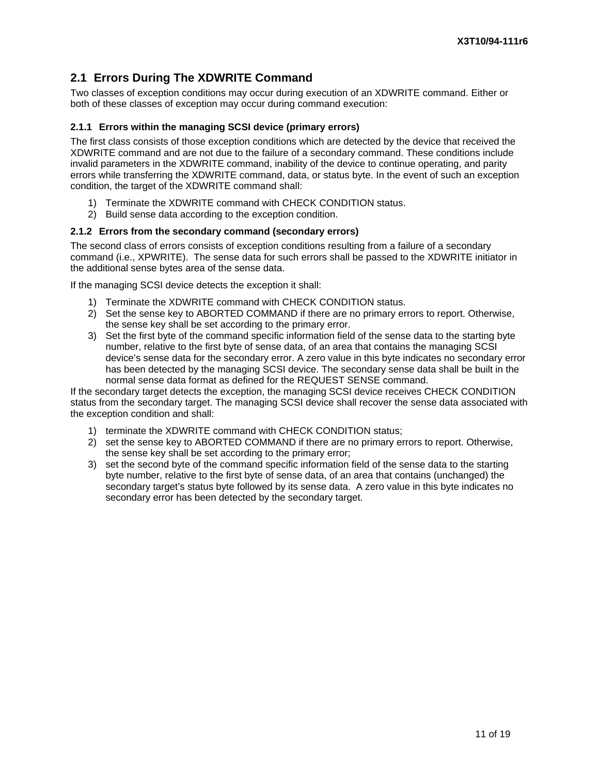# **2.1 Errors During The XDWRITE Command**

Two classes of exception conditions may occur during execution of an XDWRITE command. Either or both of these classes of exception may occur during command execution:

#### **2.1.1 Errors within the managing SCSI device (primary errors)**

The first class consists of those exception conditions which are detected by the device that received the XDWRITE command and are not due to the failure of a secondary command. These conditions include invalid parameters in the XDWRITE command, inability of the device to continue operating, and parity errors while transferring the XDWRITE command, data, or status byte. In the event of such an exception condition, the target of the XDWRITE command shall:

- 1) Terminate the XDWRITE command with CHECK CONDITION status.
- 2) Build sense data according to the exception condition.

#### **2.1.2 Errors from the secondary command (secondary errors)**

The second class of errors consists of exception conditions resulting from a failure of a secondary command (i.e., XPWRITE). The sense data for such errors shall be passed to the XDWRITE initiator in the additional sense bytes area of the sense data.

If the managing SCSI device detects the exception it shall:

- 1) Terminate the XDWRITE command with CHECK CONDITION status.
- 2) Set the sense key to ABORTED COMMAND if there are no primary errors to report. Otherwise, the sense key shall be set according to the primary error.
- 3) Set the first byte of the command specific information field of the sense data to the starting byte number, relative to the first byte of sense data, of an area that contains the managing SCSI device's sense data for the secondary error. A zero value in this byte indicates no secondary error has been detected by the managing SCSI device. The secondary sense data shall be built in the normal sense data format as defined for the REQUEST SENSE command.

If the secondary target detects the exception, the managing SCSI device receives CHECK CONDITION status from the secondary target. The managing SCSI device shall recover the sense data associated with the exception condition and shall:

- 1) terminate the XDWRITE command with CHECK CONDITION status;
- 2) set the sense key to ABORTED COMMAND if there are no primary errors to report. Otherwise, the sense key shall be set according to the primary error;
- 3) set the second byte of the command specific information field of the sense data to the starting byte number, relative to the first byte of sense data, of an area that contains (unchanged) the secondary target's status byte followed by its sense data. A zero value in this byte indicates no secondary error has been detected by the secondary target.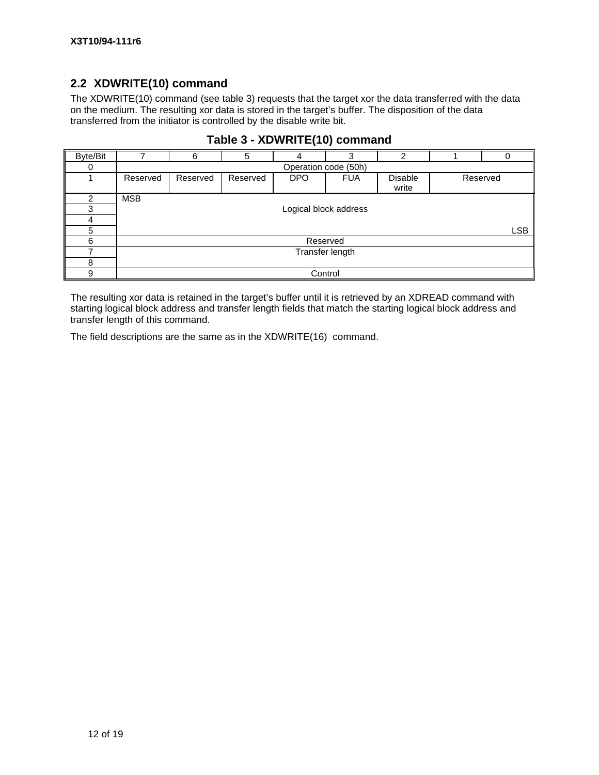# **2.2 XDWRITE(10) command**

The XDWRITE(10) command (see table 3) requests that the target xor the data transferred with the data on the medium. The resulting xor data is stored in the target's buffer. The disposition of the data transferred from the initiator is controlled by the disable write bit.

| Byte/Bit |            | 6                    | 5        |                       | 3               | 2                |          |            |  |  |
|----------|------------|----------------------|----------|-----------------------|-----------------|------------------|----------|------------|--|--|
| 0        |            | Operation code (50h) |          |                       |                 |                  |          |            |  |  |
|          | Reserved   | Reserved             | Reserved | DPO                   | <b>FUA</b>      | Disable<br>write | Reserved |            |  |  |
| 2        | <b>MSB</b> |                      |          |                       |                 |                  |          |            |  |  |
| 3        |            |                      |          | Logical block address |                 |                  |          |            |  |  |
| 4        |            |                      |          |                       |                 |                  |          |            |  |  |
| 5        |            |                      |          |                       |                 |                  |          | <b>LSB</b> |  |  |
| 6        |            |                      |          | Reserved              |                 |                  |          |            |  |  |
|          |            |                      |          |                       | Transfer length |                  |          |            |  |  |
| 8        |            |                      |          |                       |                 |                  |          |            |  |  |
| 9        |            |                      |          | Control               |                 |                  |          |            |  |  |

# **Table 3 - XDWRITE(10) command**

The resulting xor data is retained in the target's buffer until it is retrieved by an XDREAD command with starting logical block address and transfer length fields that match the starting logical block address and transfer length of this command.

The field descriptions are the same as in the XDWRITE(16) command.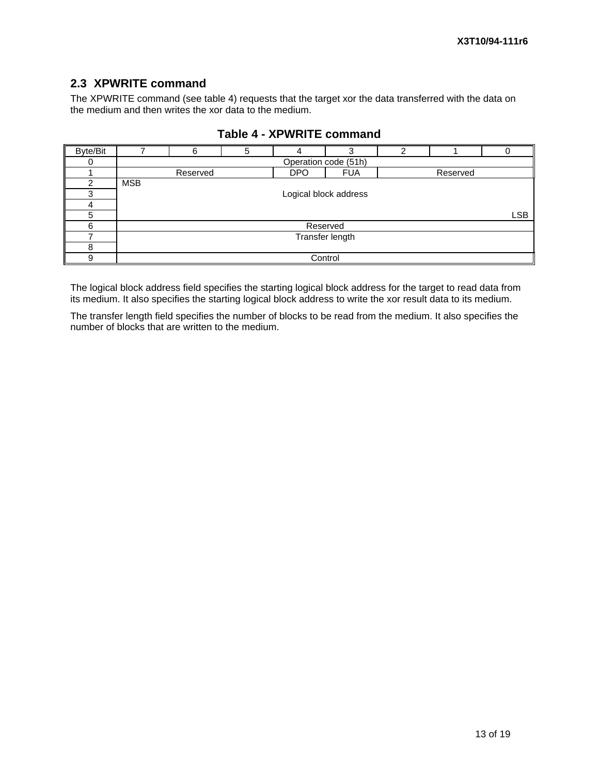# **2.3 XPWRITE command**

The XPWRITE command (see table 4) requests that the target xor the data transferred with the data on the medium and then writes the xor data to the medium.

| Byte/Bit |            | 6        | 5 |                 | 3                     | າ |          |            |  |
|----------|------------|----------|---|-----------------|-----------------------|---|----------|------------|--|
|          |            |          |   |                 | Operation code (51h)  |   |          |            |  |
|          |            | Reserved |   | <b>DPO</b>      | <b>FUA</b>            |   | Reserved |            |  |
| ⌒        | <b>MSB</b> |          |   |                 |                       |   |          |            |  |
| з        |            |          |   |                 | Logical block address |   |          |            |  |
|          |            |          |   |                 |                       |   |          |            |  |
| 5        |            |          |   |                 |                       |   |          | <b>LSB</b> |  |
| 6        |            |          |   | Reserved        |                       |   |          |            |  |
|          |            |          |   | Transfer length |                       |   |          |            |  |
| 8        |            |          |   |                 |                       |   |          |            |  |
| 9        |            |          |   |                 | Control               |   |          |            |  |

## **Table 4 - XPWRITE command**

The logical block address field specifies the starting logical block address for the target to read data from its medium. It also specifies the starting logical block address to write the xor result data to its medium.

The transfer length field specifies the number of blocks to be read from the medium. It also specifies the number of blocks that are written to the medium.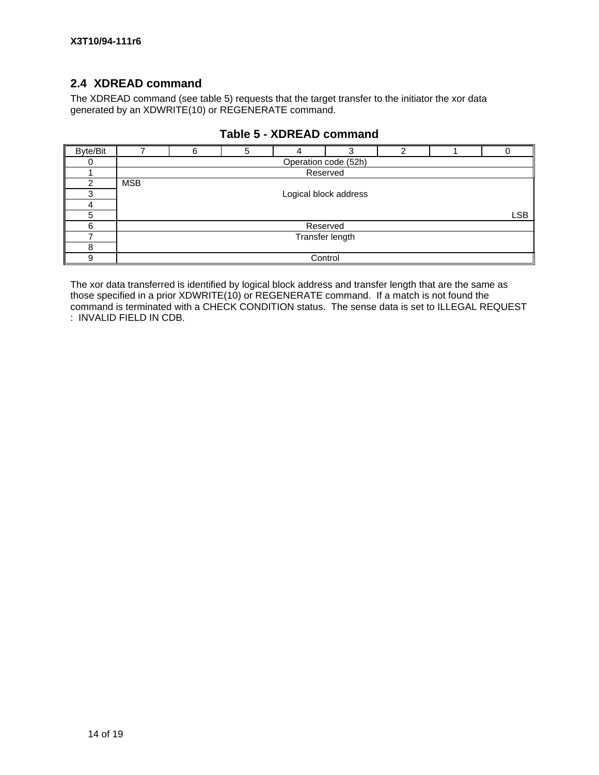# **2.4 XDREAD command**

The XDREAD command (see table 5) requests that the target transfer to the initiator the xor data generated by an XDWRITE(10) or REGENERATE command.

| Byte/Bit |            | 6               |  |  |                       |  |  |            |  |  |
|----------|------------|-----------------|--|--|-----------------------|--|--|------------|--|--|
|          |            |                 |  |  | Operation code (52h)  |  |  |            |  |  |
|          |            |                 |  |  | Reserved              |  |  |            |  |  |
| っ        | <b>MSB</b> |                 |  |  |                       |  |  |            |  |  |
|          |            |                 |  |  | Logical block address |  |  |            |  |  |
|          |            |                 |  |  |                       |  |  |            |  |  |
| 5        |            |                 |  |  |                       |  |  | <b>LSB</b> |  |  |
| հ        |            |                 |  |  | Reserved              |  |  |            |  |  |
|          |            | Transfer length |  |  |                       |  |  |            |  |  |
| 8        |            |                 |  |  |                       |  |  |            |  |  |
| Й        |            |                 |  |  | Control               |  |  |            |  |  |

## **Table 5 - XDREAD command**

The xor data transferred is identified by logical block address and transfer length that are the same as those specified in a prior XDWRITE(10) or REGENERATE command. If a match is not found the command is terminated with a CHECK CONDITION status. The sense data is set to ILLEGAL REQUEST : INVALID FIELD IN CDB.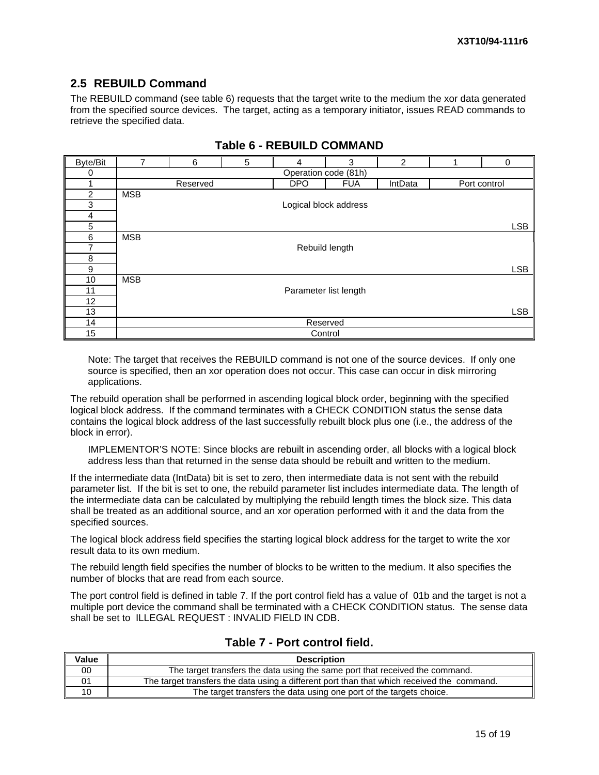# **2.5 REBUILD Command**

The REBUILD command (see table 6) requests that the target write to the medium the xor data generated from the specified source devices. The target, acting as a temporary initiator, issues READ commands to retrieve the specified data.

| <b>Byte/Bit</b> | 7          | 6                    | 5 | 4                     | 3          | 2       |  | $\Omega$     |
|-----------------|------------|----------------------|---|-----------------------|------------|---------|--|--------------|
| 0               |            | Operation code (81h) |   |                       |            |         |  |              |
|                 |            | Reserved             |   | <b>DPO</b>            | <b>FUA</b> | IntData |  | Port control |
| $\overline{2}$  | <b>MSB</b> |                      |   |                       |            |         |  |              |
| 3               |            |                      |   | Logical block address |            |         |  |              |
| 4               |            |                      |   |                       |            |         |  |              |
| 5               |            |                      |   |                       |            |         |  | <b>LSB</b>   |
| 6               | <b>MSB</b> |                      |   |                       |            |         |  |              |
| 7               |            |                      |   | Rebuild length        |            |         |  |              |
| 8               |            |                      |   |                       |            |         |  |              |
| 9               |            |                      |   |                       |            |         |  | <b>LSB</b>   |
| 10              | <b>MSB</b> |                      |   |                       |            |         |  |              |
| 11              |            |                      |   | Parameter list length |            |         |  |              |
| 12              |            |                      |   |                       |            |         |  |              |
| 13              |            |                      |   |                       |            |         |  | <b>LSB</b>   |
| 14              |            |                      |   | Reserved              |            |         |  |              |
| 15              |            |                      |   | Control               |            |         |  |              |

## **Table 6 - REBUILD COMMAND**

Note: The target that receives the REBUILD command is not one of the source devices. If only one source is specified, then an xor operation does not occur. This case can occur in disk mirroring applications.

The rebuild operation shall be performed in ascending logical block order, beginning with the specified logical block address. If the command terminates with a CHECK CONDITION status the sense data contains the logical block address of the last successfully rebuilt block plus one (i.e., the address of the block in error).

IMPLEMENTOR'S NOTE: Since blocks are rebuilt in ascending order, all blocks with a logical block address less than that returned in the sense data should be rebuilt and written to the medium.

If the intermediate data (IntData) bit is set to zero, then intermediate data is not sent with the rebuild parameter list. If the bit is set to one, the rebuild parameter list includes intermediate data. The length of the intermediate data can be calculated by multiplying the rebuild length times the block size. This data shall be treated as an additional source, and an xor operation performed with it and the data from the specified sources.

The logical block address field specifies the starting logical block address for the target to write the xor result data to its own medium.

The rebuild length field specifies the number of blocks to be written to the medium. It also specifies the number of blocks that are read from each source.

The port control field is defined in table 7. If the port control field has a value of 01b and the target is not a multiple port device the command shall be terminated with a CHECK CONDITION status. The sense data shall be set to ILLEGAL REQUEST : INVALID FIELD IN CDB.

| Value | <b>Description</b>                                                                         |
|-------|--------------------------------------------------------------------------------------------|
| 00    | The target transfers the data using the same port that received the command.               |
|       | The target transfers the data using a different port than that which received the command. |
| 10    | The target transfers the data using one port of the targets choice.                        |

## **Table 7 - Port control field.**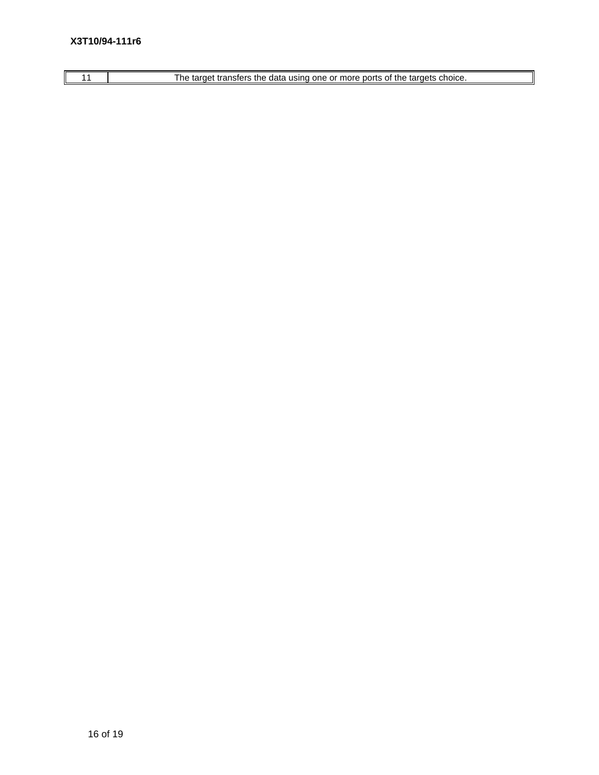# 11 The target transfers the data using one or more ports of the targets choice.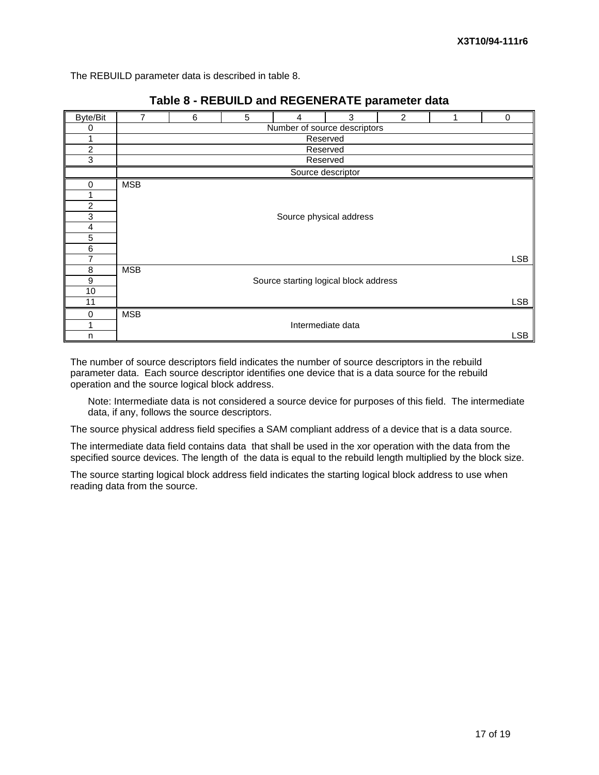The REBUILD parameter data is described in table 8.

| Byte/Bit       | 7          | 6        | 5 | 4                                     | 3 | $\overline{c}$ |  | $\mathbf 0$ |  |  |  |
|----------------|------------|----------|---|---------------------------------------|---|----------------|--|-------------|--|--|--|
| 0              |            |          |   | Number of source descriptors          |   |                |  |             |  |  |  |
| 1              |            |          |   | Reserved                              |   |                |  |             |  |  |  |
| $\overline{c}$ |            | Reserved |   |                                       |   |                |  |             |  |  |  |
| 3              |            | Reserved |   |                                       |   |                |  |             |  |  |  |
|                |            |          |   | Source descriptor                     |   |                |  |             |  |  |  |
| 0              | <b>MSB</b> |          |   |                                       |   |                |  |             |  |  |  |
|                |            |          |   |                                       |   |                |  |             |  |  |  |
| $\overline{c}$ |            |          |   |                                       |   |                |  |             |  |  |  |
| 3              |            |          |   | Source physical address               |   |                |  |             |  |  |  |
| 4              |            |          |   |                                       |   |                |  |             |  |  |  |
| 5              |            |          |   |                                       |   |                |  |             |  |  |  |
| 6              |            |          |   |                                       |   |                |  |             |  |  |  |
| 7              |            |          |   |                                       |   |                |  | <b>LSB</b>  |  |  |  |
| 8              | <b>MSB</b> |          |   |                                       |   |                |  |             |  |  |  |
| 9              |            |          |   | Source starting logical block address |   |                |  |             |  |  |  |
| 10             |            |          |   |                                       |   |                |  |             |  |  |  |
| 11             |            |          |   |                                       |   |                |  | <b>LSB</b>  |  |  |  |
| 0              | <b>MSB</b> |          |   |                                       |   |                |  |             |  |  |  |
|                |            |          |   | Intermediate data                     |   |                |  |             |  |  |  |
| n              |            |          |   |                                       |   |                |  | <b>LSB</b>  |  |  |  |

# **Table 8 - REBUILD and REGENERATE parameter data**

The number of source descriptors field indicates the number of source descriptors in the rebuild parameter data. Each source descriptor identifies one device that is a data source for the rebuild operation and the source logical block address.

Note: Intermediate data is not considered a source device for purposes of this field. The intermediate data, if any, follows the source descriptors.

The source physical address field specifies a SAM compliant address of a device that is a data source.

The intermediate data field contains data that shall be used in the xor operation with the data from the specified source devices. The length of the data is equal to the rebuild length multiplied by the block size.

The source starting logical block address field indicates the starting logical block address to use when reading data from the source.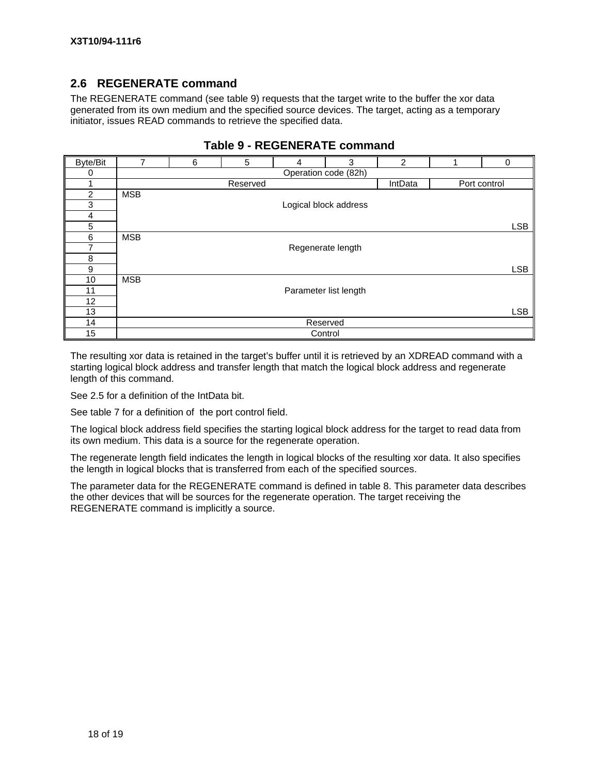## **2.6 REGENERATE command**

The REGENERATE command (see table 9) requests that the target write to the buffer the xor data generated from its own medium and the specified source devices. The target, acting as a temporary initiator, issues READ commands to retrieve the specified data.

| <b>Byte/Bit</b>         | 7          | 6                    | 5        | 4                     | 3                     | 2       |  | 0            |
|-------------------------|------------|----------------------|----------|-----------------------|-----------------------|---------|--|--------------|
| 0                       |            | Operation code (82h) |          |                       |                       |         |  |              |
|                         |            |                      | Reserved |                       |                       | IntData |  | Port control |
| $\overline{2}$          | <b>MSB</b> |                      |          |                       |                       |         |  |              |
| 3                       |            |                      |          |                       | Logical block address |         |  |              |
| $\overline{\mathbf{4}}$ |            |                      |          |                       |                       |         |  |              |
| 5                       |            |                      |          |                       |                       |         |  | <b>LSB</b>   |
| 6                       | <b>MSB</b> |                      |          |                       |                       |         |  |              |
| $\overline{7}$          |            |                      |          | Regenerate length     |                       |         |  |              |
| 8                       |            |                      |          |                       |                       |         |  |              |
| 9                       |            |                      |          |                       |                       |         |  | <b>LSB</b>   |
| 10                      | <b>MSB</b> |                      |          |                       |                       |         |  |              |
| 11                      |            |                      |          | Parameter list length |                       |         |  |              |
| 12                      |            |                      |          |                       |                       |         |  |              |
| 13                      |            |                      |          |                       |                       |         |  | <b>LSB</b>   |
| 14                      |            |                      |          |                       | Reserved              |         |  |              |
| 15                      |            |                      |          | Control               |                       |         |  |              |

## **Table 9 - REGENERATE command**

The resulting xor data is retained in the target's buffer until it is retrieved by an XDREAD command with a starting logical block address and transfer length that match the logical block address and regenerate length of this command.

See 2.5 for a definition of the IntData bit.

See table 7 for a definition of the port control field.

The logical block address field specifies the starting logical block address for the target to read data from its own medium. This data is a source for the regenerate operation.

The regenerate length field indicates the length in logical blocks of the resulting xor data. It also specifies the length in logical blocks that is transferred from each of the specified sources.

The parameter data for the REGENERATE command is defined in table 8. This parameter data describes the other devices that will be sources for the regenerate operation. The target receiving the REGENERATE command is implicitly a source.